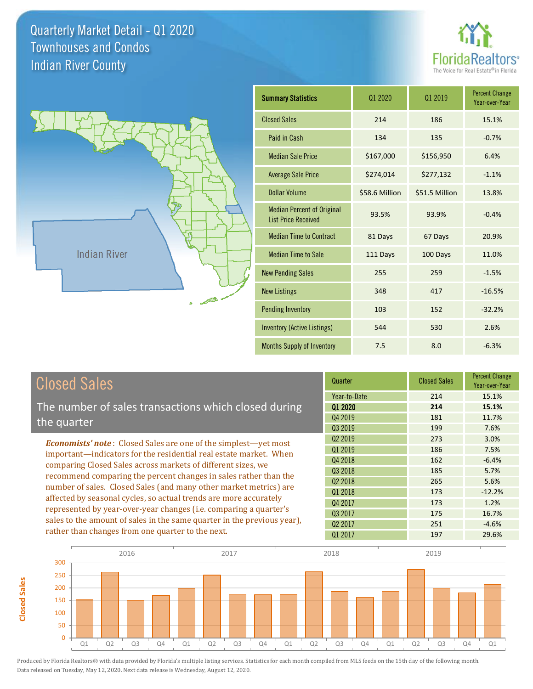**Closed Sales**

**Closed Sales** 





| <b>Summary Statistics</b>                                       | 01 2020        | 01 2019        | <b>Percent Change</b><br>Year-over-Year |
|-----------------------------------------------------------------|----------------|----------------|-----------------------------------------|
| <b>Closed Sales</b>                                             | 214            | 186            | 15.1%                                   |
| Paid in Cash                                                    | 134            | 135            | $-0.7%$                                 |
| <b>Median Sale Price</b>                                        | \$167,000      | \$156,950      | 6.4%                                    |
| <b>Average Sale Price</b>                                       | \$274,014      | \$277,132      | $-1.1%$                                 |
| Dollar Volume                                                   | \$58.6 Million | \$51.5 Million | 13.8%                                   |
| <b>Median Percent of Original</b><br><b>List Price Received</b> | 93.5%          | 93.9%          | $-0.4%$                                 |
| <b>Median Time to Contract</b>                                  | 81 Days        | 67 Days        | 20.9%                                   |
| <b>Median Time to Sale</b>                                      | 111 Days       | 100 Days       | 11.0%                                   |
| <b>New Pending Sales</b>                                        | 255            | 259            | $-1.5%$                                 |
| <b>New Listings</b>                                             | 348            | 417            | $-16.5%$                                |
| <b>Pending Inventory</b>                                        | 103            | 152            | $-32.2%$                                |
| <b>Inventory (Active Listings)</b>                              | 544            | 530            | 2.6%                                    |
| Months Supply of Inventory                                      | 7.5            | 8.0            | $-6.3%$                                 |

| <b>Closed Sales</b>                                                                                                                    | Quarter             | <b>Closed Sales</b> | <b>Percent Change</b><br>Year-over-Year |
|----------------------------------------------------------------------------------------------------------------------------------------|---------------------|---------------------|-----------------------------------------|
|                                                                                                                                        | Year-to-Date        | 214                 | 15.1%                                   |
| The number of sales transactions which closed during                                                                                   | 01 2020             | 214                 | 15.1%                                   |
| the quarter                                                                                                                            | Q4 2019             | 181                 | 11.7%                                   |
|                                                                                                                                        | 03 2019             | 199                 | 7.6%                                    |
| <b>Economists' note:</b> Closed Sales are one of the simplest—yet most                                                                 | Q <sub>2</sub> 2019 | 273                 | 3.0%                                    |
| important—indicators for the residential real estate market. When                                                                      | Q1 2019             | 186                 | 7.5%                                    |
| comparing Closed Sales across markets of different sizes, we                                                                           | Q4 2018             | 162                 | $-6.4%$                                 |
| recommend comparing the percent changes in sales rather than the                                                                       | Q3 2018             | 185                 | 5.7%                                    |
|                                                                                                                                        | Q <sub>2</sub> 2018 | 265                 | 5.6%                                    |
| number of sales. Closed Sales (and many other market metrics) are<br>affected by seasonal cycles, so actual trends are more accurately | 01 2018             | 173                 | $-12.2%$                                |
|                                                                                                                                        | Q4 2017             | 173                 | 1.2%                                    |
| represented by year-over-year changes (i.e. comparing a quarter's                                                                      | Q3 2017             | 175                 | 16.7%                                   |
| sales to the amount of sales in the same quarter in the previous year),                                                                | 02 2017             | 251                 | $-4.6%$                                 |
| rather than changes from one quarter to the next.                                                                                      | 01 2017             | 197                 | 29.6%                                   |

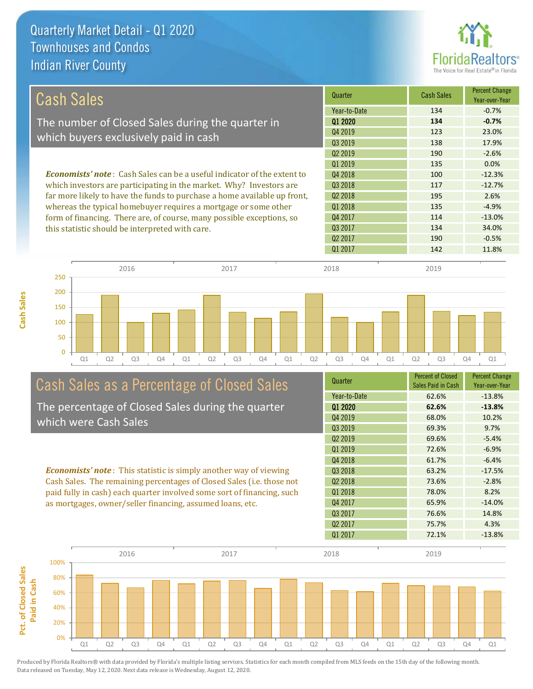

| <b>Cash Sales</b>                                                               | Quarter             | <b>Cash Sales</b> | <b>Percent Change</b><br>Year-over-Year |
|---------------------------------------------------------------------------------|---------------------|-------------------|-----------------------------------------|
|                                                                                 | Year-to-Date        | 134               | $-0.7%$                                 |
| The number of Closed Sales during the quarter in                                | Q1 2020             | 134               | $-0.7%$                                 |
| which buyers exclusively paid in cash                                           | Q4 2019             | 123               | 23.0%                                   |
|                                                                                 | 03 2019             | 138               | 17.9%                                   |
|                                                                                 | Q <sub>2</sub> 2019 | 190               | $-2.6%$                                 |
|                                                                                 | Q1 2019             | 135               | 0.0%                                    |
| <b>Economists' note</b> : Cash Sales can be a useful indicator of the extent to | Q4 2018             | 100               | $-12.3%$                                |
| which investors are participating in the market. Why? Investors are             | 03 2018             | 117               | $-12.7%$                                |
| far more likely to have the funds to purchase a home available up front,        | Q <sub>2</sub> 2018 | 195               | 2.6%                                    |
| whereas the typical homebuyer requires a mortgage or some other                 | 01 2018             | 135               | $-4.9%$                                 |
| form of financing. There are, of course, many possible exceptions, so           | Q4 2017             | 114               | $-13.0%$                                |
| this statistic should be interpreted with care.                                 | Q3 2017             | 134               | 34.0%                                   |
|                                                                                 | Q <sub>2</sub> 2017 | 190               | $-0.5%$                                 |
|                                                                                 | 01 2017             | 142               | 11.8%                                   |



**Cash Sales**



# Cash Sales as a Percentage of Closed Sales

The percentage of Closed Sales during the quarter which were Cash Sales

*Economists' note* : This statistic is simply another way of viewing Cash Sales. The remaining percentages of Closed Sales (i.e. those not paid fully in cash) each quarter involved some sort of financing, such as mortgages, owner/seller financing, assumed loans, etc.

| Year-to-Date        | 62.6%<br>$-13.8%$ |  |
|---------------------|-------------------|--|
|                     |                   |  |
| 01 2020             | 62.6%<br>$-13.8%$ |  |
| Q4 2019             | 68.0%<br>10.2%    |  |
| Q3 2019             | 69.3%<br>9.7%     |  |
| Q <sub>2</sub> 2019 | 69.6%<br>$-5.4%$  |  |
| 01 2019             | 72.6%<br>$-6.9%$  |  |
| Q4 2018             | 61.7%<br>$-6.4%$  |  |
| Q3 2018             | 63.2%<br>$-17.5%$ |  |
| Q <sub>2</sub> 2018 | 73.6%<br>$-2.8%$  |  |
| Q1 2018             | 78.0%<br>8.2%     |  |
| Q4 2017             | $-14.0%$<br>65.9% |  |
| Q3 2017             | 76.6%<br>14.8%    |  |
| Q <sub>2</sub> 2017 | 75.7%<br>4.3%     |  |
| Q1 2017             | 72.1%<br>$-13.8%$ |  |

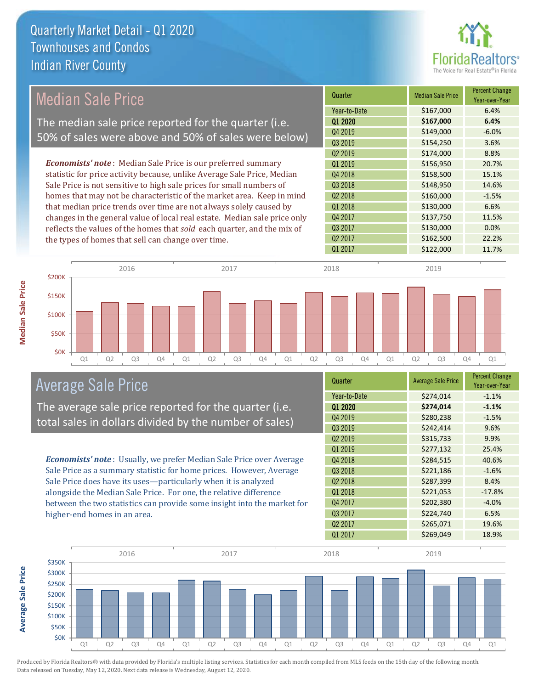

## Median Sale Price

The median sale price reported for the quarter (i.e. 50% of sales were above and 50% of sales were below)

*Economists' note* : Median Sale Price is our preferred summary statistic for price activity because, unlike Average Sale Price, Median Sale Price is not sensitive to high sale prices for small numbers of homes that may not be characteristic of the market area. Keep in mind that median price trends over time are not always solely caused by changes in the general value of local real estate. Median sale price only reflects the values of the homes that *sold* each quarter, and the mix of the types of homes that sell can change over time.

| Quarter             | <b>Median Sale Price</b> | <b>Percent Change</b><br>Year-over-Year |
|---------------------|--------------------------|-----------------------------------------|
| Year-to-Date        | \$167,000                | 6.4%                                    |
| Q1 2020             | \$167,000                | 6.4%                                    |
| Q4 2019             | \$149,000                | $-6.0%$                                 |
| Q3 2019             | \$154,250                | 3.6%                                    |
| Q <sub>2</sub> 2019 | \$174,000                | 8.8%                                    |
| Q1 2019             | \$156,950                | 20.7%                                   |
| Q4 2018             | \$158,500                | 15.1%                                   |
| Q3 2018             | \$148,950                | 14.6%                                   |
| Q <sub>2</sub> 2018 | \$160,000                | $-1.5%$                                 |
| Q1 2018             | \$130,000                | 6.6%                                    |
| Q4 2017             | \$137,750                | 11.5%                                   |
| Q3 2017             | \$130,000                | 0.0%                                    |
| Q <sub>2</sub> 2017 | \$162,500                | 22.2%                                   |
| Q1 2017             | \$122,000                | 11.7%                                   |



### Average Sale Price

The average sale price reported for the quarter (i.e. total sales in dollars divided by the number of sales)

*Economists' note* : Usually, we prefer Median Sale Price over Average Sale Price as a summary statistic for home prices. However, Average Sale Price does have its uses—particularly when it is analyzed alongside the Median Sale Price. For one, the relative difference between the two statistics can provide some insight into the market for higher-end homes in an area.

| Quarter             | <b>Average Sale Price</b> | <b>Percent Change</b><br>Year-over-Year |
|---------------------|---------------------------|-----------------------------------------|
| Year-to-Date        | \$274,014                 | $-1.1%$                                 |
| 01 2020             | \$274,014                 | $-1.1%$                                 |
| Q4 2019             | \$280,238                 | $-1.5%$                                 |
| Q3 2019             | \$242,414                 | 9.6%                                    |
| Q <sub>2</sub> 2019 | \$315,733                 | 9.9%                                    |
| Q1 2019             | \$277,132                 | 25.4%                                   |
| Q4 2018             | \$284,515                 | 40.6%                                   |
| Q3 2018             | \$221,186                 | $-1.6%$                                 |
| Q <sub>2</sub> 2018 | \$287,399                 | 8.4%                                    |
| 01 2018             | \$221,053                 | $-17.8%$                                |
| Q4 2017             | \$202,380                 | $-4.0%$                                 |
| Q3 2017             | \$224,740                 | 6.5%                                    |
| Q <sub>2</sub> 2017 | \$265,071                 | 19.6%                                   |
| Q1 2017             | \$269,049                 | 18.9%                                   |



Produced by Florida Realtors® with data provided by Florida's multiple listing services. Statistics for each month compiled from MLS feeds on the 15th day of the following month. Data released on Tuesday, May 12, 2020. Next data release is Wednesday, August 12, 2020.

**Average Sale Price**

**Average Sale Price**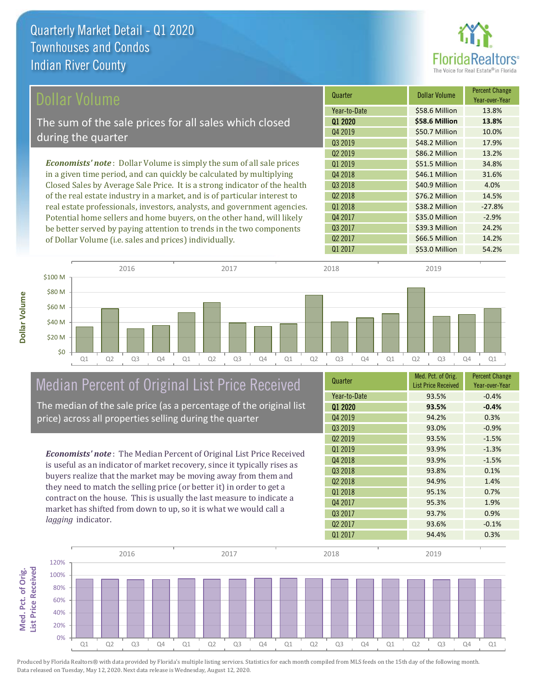

| Dollar Volume                                                                | Quarter             | <b>Dollar Volume</b> | <b>Percent Change</b><br>Year-over-Year |
|------------------------------------------------------------------------------|---------------------|----------------------|-----------------------------------------|
|                                                                              | Year-to-Date        | \$58.6 Million       | 13.8%                                   |
| The sum of the sale prices for all sales which closed                        | 01 2020             | \$58.6 Million       | 13.8%                                   |
| during the quarter                                                           | Q4 2019             | \$50.7 Million       | 10.0%                                   |
|                                                                              | Q3 2019             | \$48.2 Million       | 17.9%                                   |
|                                                                              | Q <sub>2</sub> 2019 | \$86.2 Million       | 13.2%                                   |
| <b>Economists' note</b> : Dollar Volume is simply the sum of all sale prices | 01 2019             | \$51.5 Million       | 34.8%                                   |
| in a given time period, and can quickly be calculated by multiplying         | Q4 2018             | \$46.1 Million       | 31.6%                                   |
| Closed Sales by Average Sale Price. It is a strong indicator of the health   | Q3 2018             | \$40.9 Million       | 4.0%                                    |
| of the real estate industry in a market, and is of particular interest to    | Q <sub>2</sub> 2018 | \$76.2 Million       | 14.5%                                   |
| real estate professionals, investors, analysts, and government agencies.     | Q1 2018             | \$38.2 Million       | $-27.8%$                                |
| Potential home sellers and home buyers, on the other hand, will likely       | Q4 2017             | \$35.0 Million       | $-2.9%$                                 |
| be better served by paying attention to trends in the two components         | Q3 2017             | \$39.3 Million       | 24.2%                                   |
| of Dollar Volume (i.e. sales and prices) individually.                       | Q <sub>2</sub> 2017 | \$66.5 Million       | 14.2%                                   |



# Median Percent of Original List Price Received

The median of the sale price (as a percentage of the original list price) across all properties selling during the quarter

*Economists' note* : The Median Percent of Original List Price Received is useful as an indicator of market recovery, since it typically rises as buyers realize that the market may be moving away from them and they need to match the selling price (or better it) in order to get a contract on the house. This is usually the last measure to indicate a market has shifted from down to up, so it is what we would call a *lagging* indicator.

| Quarter             | Med. Pct. of Orig.<br><b>List Price Received</b> | <b>Percent Change</b><br>Year-over-Year |
|---------------------|--------------------------------------------------|-----------------------------------------|
| Year-to-Date        | 93.5%                                            | $-0.4%$                                 |
| Q1 2020             | 93.5%                                            | $-0.4%$                                 |
| Q4 2019             | 94.2%                                            | 0.3%                                    |
| Q3 2019             | 93.0%                                            | $-0.9%$                                 |
| Q <sub>2</sub> 2019 | 93.5%                                            | $-1.5%$                                 |
| 01 2019             | 93.9%                                            | $-1.3%$                                 |
| Q4 2018             | 93.9%                                            | $-1.5%$                                 |
| Q3 2018             | 93.8%                                            | 0.1%                                    |
| Q <sub>2</sub> 2018 | 94.9%                                            | 1.4%                                    |
| 01 2018             | 95.1%                                            | 0.7%                                    |
| Q4 2017             | 95.3%                                            | 1.9%                                    |
| Q3 2017             | 93.7%                                            | 0.9%                                    |
| Q <sub>2</sub> 2017 | 93.6%                                            | $-0.1%$                                 |
| 01 2017             | 94.4%                                            | 0.3%                                    |

Q1 2017 **\$53.0 Million 54.2%** 

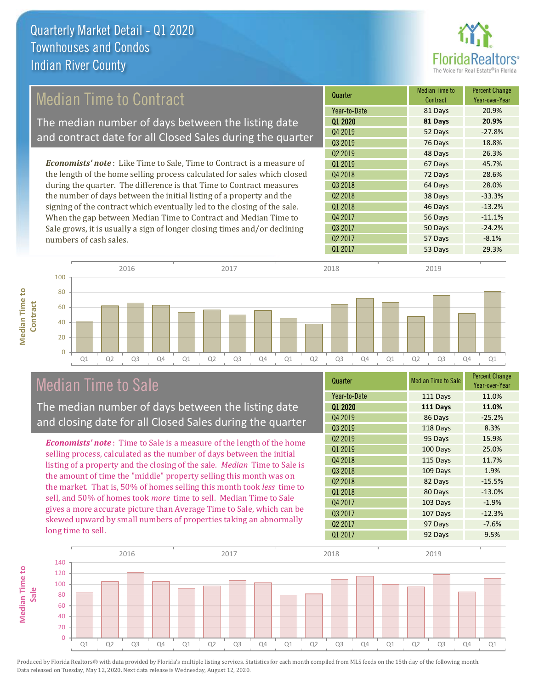

## Median Time to Contract

The median number of days between the listing date and contract date for all Closed Sales during the quarter

*Economists' note* : Like Time to Sale, Time to Contract is a measure of the length of the home selling process calculated for sales which closed during the quarter. The difference is that Time to Contract measures the number of days between the initial listing of a property and the signing of the contract which eventually led to the closing of the sale. When the gap between Median Time to Contract and Median Time to Sale grows, it is usually a sign of longer closing times and/or declining numbers of cash sales.

| Quarter             | <b>Median Time to</b><br>Contract | <b>Percent Change</b><br>Year-over-Year |
|---------------------|-----------------------------------|-----------------------------------------|
| Year-to-Date        | 81 Days                           | 20.9%                                   |
| 01 2020             | 81 Days                           | 20.9%                                   |
| Q4 2019             | 52 Days                           | $-27.8%$                                |
| Q3 2019             | 76 Days                           | 18.8%                                   |
| Q <sub>2</sub> 2019 | 48 Days                           | 26.3%                                   |
| Q1 2019             | 67 Days                           | 45.7%                                   |
| Q4 2018             | 72 Days                           | 28.6%                                   |
| Q3 2018             | 64 Days                           | 28.0%                                   |
| Q <sub>2</sub> 2018 | 38 Days                           | $-33.3%$                                |
| Q1 2018             | 46 Days                           | $-13.2%$                                |
| Q4 2017             | 56 Days                           | $-11.1%$                                |
| Q3 2017             | 50 Days                           | $-24.2%$                                |
| Q <sub>2</sub> 2017 | 57 Days                           | $-8.1%$                                 |
| Q1 2017             | 53 Days                           | 29.3%                                   |
|                     |                                   |                                         |



### Median Time to Sale

**Median Time to** 

**Median Time to** 

The median number of days between the listing date and closing date for all Closed Sales during the quarter

*Economists' note* : Time to Sale is a measure of the length of the home selling process, calculated as the number of days between the initial listing of a property and the closing of the sale. *Median* Time to Sale is the amount of time the "middle" property selling this month was on the market. That is, 50% of homes selling this month took *less* time to sell, and 50% of homes took *more* time to sell. Median Time to Sale gives a more accurate picture than Average Time to Sale, which can be skewed upward by small numbers of properties taking an abnormally long time to sell.

| Quarter             | <b>Median Time to Sale</b> | <b>Percent Change</b><br>Year-over-Year |
|---------------------|----------------------------|-----------------------------------------|
| Year-to-Date        | 111 Days                   | 11.0%                                   |
| Q1 2020             | 111 Days                   | 11.0%                                   |
| Q4 2019             | 86 Days                    | $-25.2%$                                |
| Q3 2019             | 118 Days                   | 8.3%                                    |
| Q <sub>2</sub> 2019 | 95 Days                    | 15.9%                                   |
| Q1 2019             | 100 Days                   | 25.0%                                   |
| Q4 2018             | 115 Days                   | 11.7%                                   |
| Q3 2018             | 109 Days                   | 1.9%                                    |
| Q2 2018             | 82 Days                    | $-15.5%$                                |
| Q1 2018             | 80 Days                    | $-13.0%$                                |
| Q4 2017             | 103 Days                   | $-1.9%$                                 |
| Q3 2017             | 107 Days                   | $-12.3%$                                |
| Q <sub>2</sub> 2017 | 97 Days                    | $-7.6%$                                 |
| Q1 2017             | 92 Days                    | 9.5%                                    |

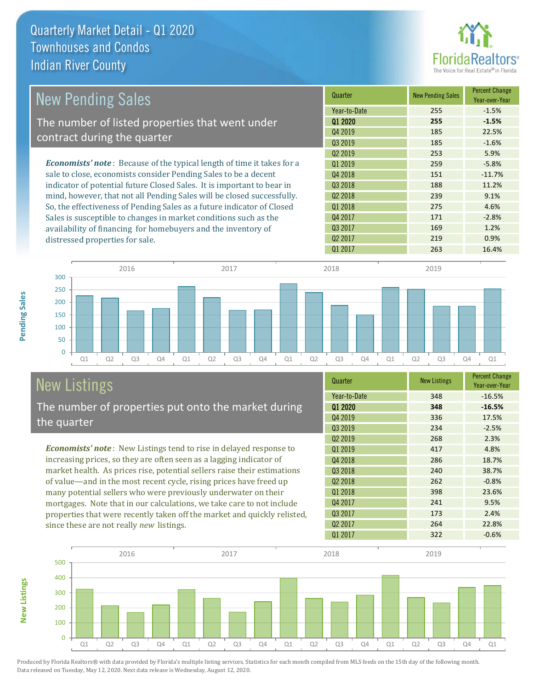

| <b>New Pending Sales</b>                                                      | Quarter             | <b>New Pending Sales</b> | <b>Percent Change</b><br>Year-over-Year |
|-------------------------------------------------------------------------------|---------------------|--------------------------|-----------------------------------------|
|                                                                               | Year-to-Date        | 255                      | $-1.5%$                                 |
| The number of listed properties that went under                               | 01 2020             | 255                      | $-1.5%$                                 |
|                                                                               | Q4 2019             | 185                      | 22.5%                                   |
| contract during the quarter                                                   | Q3 2019             | 185                      | $-1.6%$                                 |
|                                                                               | Q <sub>2</sub> 2019 | 253                      | 5.9%                                    |
| <b>Economists' note:</b> Because of the typical length of time it takes for a | 01 2019             | 259                      | $-5.8%$                                 |
| sale to close, economists consider Pending Sales to be a decent               | Q4 2018             | 151                      | $-11.7%$                                |
| indicator of potential future Closed Sales. It is important to bear in        | 03 2018             | 188                      | 11.2%                                   |
| mind, however, that not all Pending Sales will be closed successfully.        | Q <sub>2</sub> 2018 | 239                      | 9.1%                                    |
| So, the effectiveness of Pending Sales as a future indicator of Closed        | 01 2018             | 275                      | 4.6%                                    |
| Sales is susceptible to changes in market conditions such as the              | Q4 2017             | 171                      | $-2.8%$                                 |
| availability of financing for homebuyers and the inventory of                 | Q3 2017             | 169                      | 1.2%                                    |
| distressed properties for sale.                                               | Q <sub>2</sub> 2017 | 219                      | 0.9%                                    |



# New Listings

The number of properties put onto the market during the quarter

*Economists' note* : New Listings tend to rise in delayed response to increasing prices, so they are often seen as a lagging indicator of market health. As prices rise, potential sellers raise their estimations of value—and in the most recent cycle, rising prices have freed up many potential sellers who were previously underwater on their mortgages. Note that in our calculations, we take care to not include properties that were recently taken off the market and quickly relisted, since these are not really *new* listings.

| Quarter             | <b>New Listings</b> | <b>Percent Change</b><br>Year-over-Year |
|---------------------|---------------------|-----------------------------------------|
| Year-to-Date        | 348                 | $-16.5%$                                |
| 01 2020             | 348                 | $-16.5%$                                |
| Q4 2019             | 336                 | 17.5%                                   |
| Q3 2019             | 234                 | $-2.5%$                                 |
| Q <sub>2</sub> 2019 | 268                 | 2.3%                                    |
| Q1 2019             | 417                 | 4.8%                                    |
| Q4 2018             | 286                 | 18.7%                                   |
| Q3 2018             | 240                 | 38.7%                                   |
| Q <sub>2</sub> 2018 | 262                 | $-0.8%$                                 |
| 01 2018             | 398                 | 23.6%                                   |
| Q4 2017             | 241                 | 9.5%                                    |
| Q3 2017             | 173                 | 2.4%                                    |
| Q <sub>2</sub> 2017 | 264                 | 22.8%                                   |
| 01 2017             | 322                 | $-0.6%$                                 |

Q1 2017 263 263 16.4%



Produced by Florida Realtors® with data provided by Florida's multiple listing services. Statistics for each month compiled from MLS feeds on the 15th day of the following month. Data released on Tuesday, May 12, 2020. Next data release is Wednesday, August 12, 2020.

**New Listings**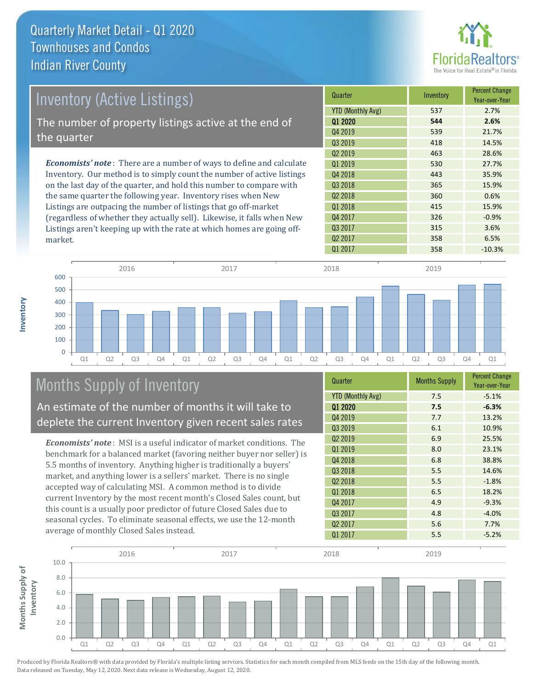

| <b>Inventory (Active Listings)</b>                                           | Quarter             | Inventory | <b>Percent Change</b><br>Year-over-Year |
|------------------------------------------------------------------------------|---------------------|-----------|-----------------------------------------|
|                                                                              | YTD (Monthly Avg)   | 537       | 2.7%                                    |
| The number of property listings active at the end of                         | Q1 2020             | 544       | 2.6%                                    |
| the quarter                                                                  | Q4 2019             | 539       | 21.7%                                   |
|                                                                              | Q3 2019             | 418       | 14.5%                                   |
|                                                                              | Q <sub>2</sub> 2019 | 463       | 28.6%                                   |
| <b>Economists' note</b> : There are a number of ways to define and calculate | 01 2019             | 530       | 27.7%                                   |
| Inventory. Our method is to simply count the number of active listings       | Q4 2018             | 443       | 35.9%                                   |
| on the last day of the quarter, and hold this number to compare with         | Q3 2018             | 365       | 15.9%                                   |
| the same quarter the following year. Inventory rises when New                | Q <sub>2</sub> 2018 | 360       | 0.6%                                    |
| Listings are outpacing the number of listings that go off-market             | Q1 2018             | 415       | 15.9%                                   |
| (regardless of whether they actually sell). Likewise, it falls when New      | Q4 2017             | 326       | $-0.9%$                                 |
| Listings aren't keeping up with the rate at which homes are going off-       | Q3 2017             | 315       | 3.6%                                    |



## Months Supply of Inventory

market.

**Inventory**

An estimate of the number of months it will take to deplete the current Inventory given recent sales rates

*Economists' note* : MSI is a useful indicator of market conditions. The benchmark for a balanced market (favoring neither buyer nor seller) is 5.5 months of inventory. Anything higher is traditionally a buyers' market, and anything lower is a sellers' market. There is no single accepted way of calculating MSI. A common method is to divide current Inventory by the most recent month's Closed Sales count, but this count is a usually poor predictor of future Closed Sales due to seasonal cycles. To eliminate seasonal effects, we use the 12-month average of monthly Closed Sales instead.

| Quarter                  | <b>Months Supply</b> | <b>Percent Change</b><br>Year-over-Year |
|--------------------------|----------------------|-----------------------------------------|
| <b>YTD (Monthly Avg)</b> | 7.5                  | $-5.1%$                                 |
| 01 2020                  | 7.5                  | $-6.3%$                                 |
| Q4 2019                  | 7.7                  | 13.2%                                   |
| Q3 2019                  | 6.1                  | 10.9%                                   |
| Q <sub>2</sub> 2019      | 6.9                  | 25.5%                                   |
| Q1 2019                  | 8.0                  | 23.1%                                   |
| Q4 2018                  | 6.8                  | 38.8%                                   |
| Q3 2018                  | 5.5                  | 14.6%                                   |
| Q <sub>2</sub> 2018      | 5.5                  | $-1.8%$                                 |
| Q1 2018                  | 6.5                  | 18.2%                                   |
| Q4 2017                  | 4.9                  | $-9.3%$                                 |
| Q3 2017                  | 4.8                  | $-4.0%$                                 |
| Q <sub>2</sub> 2017      | 5.6                  | 7.7%                                    |
| Q1 2017                  | 5.5                  | $-5.2%$                                 |

 $Q1\,2017$   $358$   $-10.3\%$ 

Q2 2017 358 6.5%

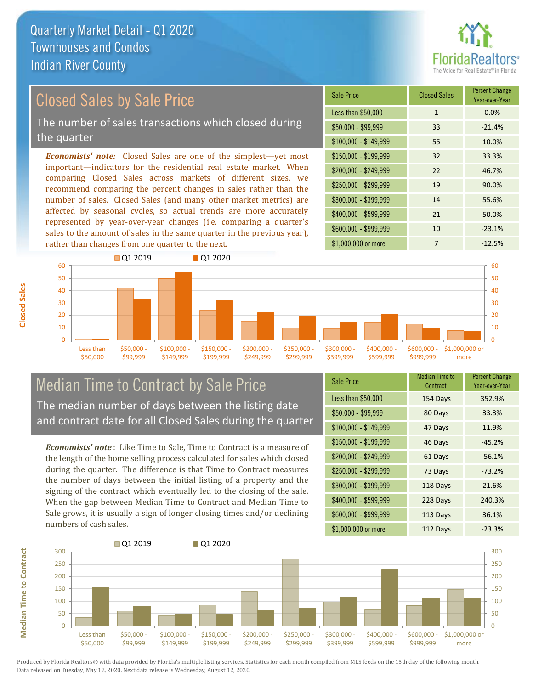

## Closed Sales by Sale Price

The number of sales transactions which closed during the quarter

*Economists' note:* Closed Sales are one of the simplest—yet most important—indicators for the residential real estate market. When comparing Closed Sales across markets of different sizes, we recommend comparing the percent changes in sales rather than the number of sales. Closed Sales (and many other market metrics) are affected by seasonal cycles, so actual trends are more accurately represented by year-over-year changes (i.e. comparing a quarter's sales to the amount of sales in the same quarter in the previous year), rather than changes from one quarter to the next.





### Median Time to Contract by Sale Price The median number of days between the listing date and contract date for all Closed Sales during the quarter

*Economists' note* : Like Time to Sale, Time to Contract is a measure of the length of the home selling process calculated for sales which closed during the quarter. The difference is that Time to Contract measures the number of days between the initial listing of a property and the signing of the contract which eventually led to the closing of the sale. When the gap between Median Time to Contract and Median Time to Sale grows, it is usually a sign of longer closing times and/or declining numbers of cash sales.

| Sale Price            | <b>Median Time to</b><br>Contract | <b>Percent Change</b><br>Year-over-Year |
|-----------------------|-----------------------------------|-----------------------------------------|
| Less than \$50,000    | 154 Days                          | 352.9%                                  |
| $$50,000 - $99,999$   | 80 Days                           | 33.3%                                   |
| $$100,000 - $149,999$ | 47 Days                           | 11.9%                                   |
| \$150,000 - \$199,999 | 46 Days                           | $-45.2%$                                |
| \$200,000 - \$249,999 | 61 Days                           | $-56.1%$                                |
| \$250,000 - \$299,999 | 73 Days                           | $-73.2%$                                |
| \$300,000 - \$399,999 | 118 Days                          | 21.6%                                   |
| \$400,000 - \$599,999 | 228 Days                          | 240.3%                                  |
| \$600,000 - \$999,999 | 113 Days                          | 36.1%                                   |
| \$1,000,000 or more   | 112 Days                          | $-23.3%$                                |



Produced by Florida Realtors® with data provided by Florida's multiple listing services. Statistics for each month compiled from MLS feeds on the 15th day of the following month. Data released on Tuesday, May 12, 2020. Next data release is Wednesday, August 12, 2020.

**Median Time to Contract**

**Median Time to Contract**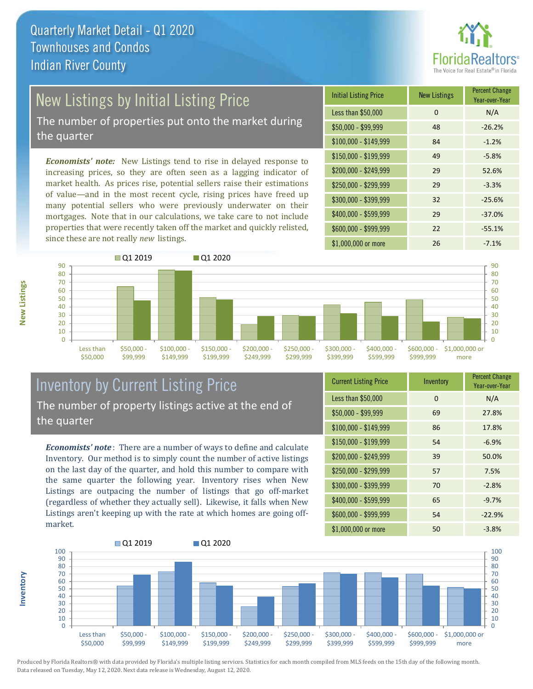

# New Listings by Initial Listing Price

The number of properties put onto the market during the quarter

*Economists' note:* New Listings tend to rise in delayed response to increasing prices, so they are often seen as a lagging indicator of market health. As prices rise, potential sellers raise their estimations of value—and in the most recent cycle, rising prices have freed up many potential sellers who were previously underwater on their mortgages. Note that in our calculations, we take care to not include properties that were recently taken off the market and quickly relisted, since these are not really *new* listings.

| <b>Initial Listing Price</b> | <b>New Listings</b> | <b>Percent Change</b><br>Year-over-Year |
|------------------------------|---------------------|-----------------------------------------|
| Less than \$50,000           | 0                   | N/A                                     |
| $$50,000 - $99,999$          | 48                  | $-26.2%$                                |
| $$100,000 - $149,999$        | 84                  | $-1.2%$                                 |
| $$150,000 - $199,999$        | 49                  | $-5.8%$                                 |
| \$200,000 - \$249,999        | 29                  | 52.6%                                   |
| \$250,000 - \$299,999        | 29                  | $-3.3%$                                 |
| \$300,000 - \$399,999        | 32                  | $-25.6%$                                |
| \$400,000 - \$599,999        | 29                  | $-37.0%$                                |
| \$600,000 - \$999,999        | 22                  | $-55.1%$                                |
| \$1,000,000 or more          | 26                  | $-7.1%$                                 |



### Inventory by Current Listing Price The number of property listings active at the end of the quarter

*Economists' note* : There are a number of ways to define and calculate Inventory. Our method is to simply count the number of active listings on the last day of the quarter, and hold this number to compare with the same quarter the following year. Inventory rises when New Listings are outpacing the number of listings that go off-market (regardless of whether they actually sell). Likewise, it falls when New Listings aren't keeping up with the rate at which homes are going offmarket.

| <b>Current Listing Price</b> | Inventory | <b>Percent Change</b><br>Year-over-Year |
|------------------------------|-----------|-----------------------------------------|
| Less than \$50,000           | 0         | N/A                                     |
| $$50,000 - $99,999$          | 69        | 27.8%                                   |
| $$100,000 - $149,999$        | 86        | 17.8%                                   |
| $$150,000 - $199,999$        | 54        | $-6.9%$                                 |
| \$200,000 - \$249,999        | 39        | 50.0%                                   |
| \$250,000 - \$299,999        | 57        | 7.5%                                    |
| \$300,000 - \$399,999        | 70        | $-2.8%$                                 |
| $$400,000 - $599,999$        | 65        | $-9.7%$                                 |
| \$600,000 - \$999,999        | 54        | $-22.9%$                                |
| \$1,000,000 or more          | 50        | $-3.8%$                                 |



Produced by Florida Realtors® with data provided by Florida's multiple listing services. Statistics for each month compiled from MLS feeds on the 15th day of the following month. Data released on Tuesday, May 12, 2020. Next data release is Wednesday, August 12, 2020.

**Inventory**